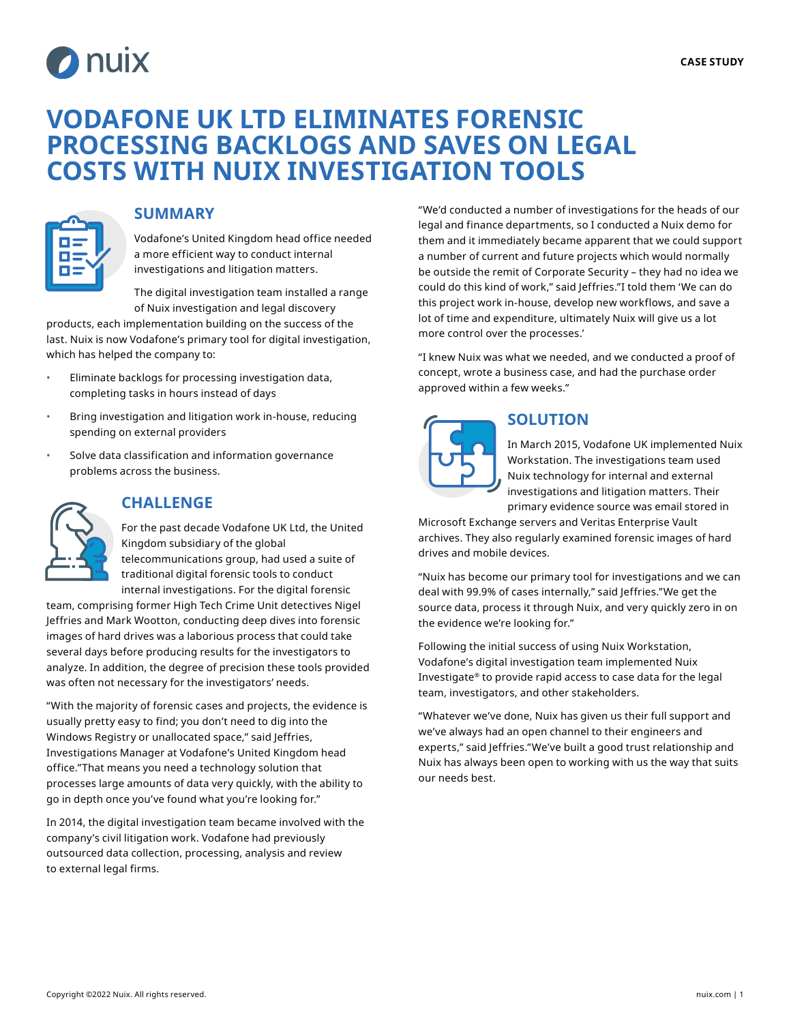

## **VODAFONE UK LTD ELIMINATES FORENSIC PROCESSING BACKLOGS AND SAVES ON LEGAL COSTS WITH NUIX INVESTIGATION TOOLS**



### **SUMMARY**

Vodafone's United Kingdom head office needed a more efficient way to conduct internal investigations and litigation matters.

The digital investigation team installed a range of Nuix investigation and legal discovery

products, each implementation building on the success of the last. Nuix is now Vodafone's primary tool for digital investigation, which has helped the company to:

- Eliminate backlogs for processing investigation data, completing tasks in hours instead of days
- Bring investigation and litigation work in-house, reducing spending on external providers
- Solve data classification and information governance problems across the business.



### **CHALLENGE**

For the past decade Vodafone UK Ltd, the United Kingdom subsidiary of the global telecommunications group, had used a suite of

traditional digital forensic tools to conduct internal investigations. For the digital forensic

team, comprising former High Tech Crime Unit detectives Nigel Jeffries and Mark Wootton, conducting deep dives into forensic images of hard drives was a laborious process that could take several days before producing results for the investigators to analyze. In addition, the degree of precision these tools provided was often not necessary for the investigators' needs.

"With the majority of forensic cases and projects, the evidence is usually pretty easy to find; you don't need to dig into the Windows Registry or unallocated space," said Jeffries, Investigations Manager at Vodafone's United Kingdom head office."That means you need a technology solution that processes large amounts of data very quickly, with the ability to go in depth once you've found what you're looking for."

In 2014, the digital investigation team became involved with the company's civil litigation work. Vodafone had previously outsourced data collection, processing, analysis and review to external legal firms.

"We'd conducted a number of investigations for the heads of our legal and finance departments, so I conducted a Nuix demo for them and it immediately became apparent that we could support a number of current and future projects which would normally be outside the remit of Corporate Security – they had no idea we could do this kind of work," said Jeffries."I told them 'We can do this project work in-house, develop new workflows, and save a lot of time and expenditure, ultimately Nuix will give us a lot more control over the processes.'

"I knew Nuix was what we needed, and we conducted a proof of concept, wrote a business case, and had the purchase order approved within a few weeks."



### **SOLUTION**

In March 2015, Vodafone UK implemented Nuix Workstation. The investigations team used Nuix technology for internal and external investigations and litigation matters. Their primary evidence source was email stored in

Microsoft Exchange servers and Veritas Enterprise Vault archives. They also regularly examined forensic images of hard drives and mobile devices.

"Nuix has become our primary tool for investigations and we can deal with 99.9% of cases internally," said Jeffries."We get the source data, process it through Nuix, and very quickly zero in on the evidence we're looking for."

Following the initial success of using Nuix Workstation, Vodafone's digital investigation team implemented Nuix Investigate® to provide rapid access to case data for the legal team, investigators, and other stakeholders.

"Whatever we've done, Nuix has given us their full support and we've always had an open channel to their engineers and experts," said Jeffries."We've built a good trust relationship and Nuix has always been open to working with us the way that suits our needs best.